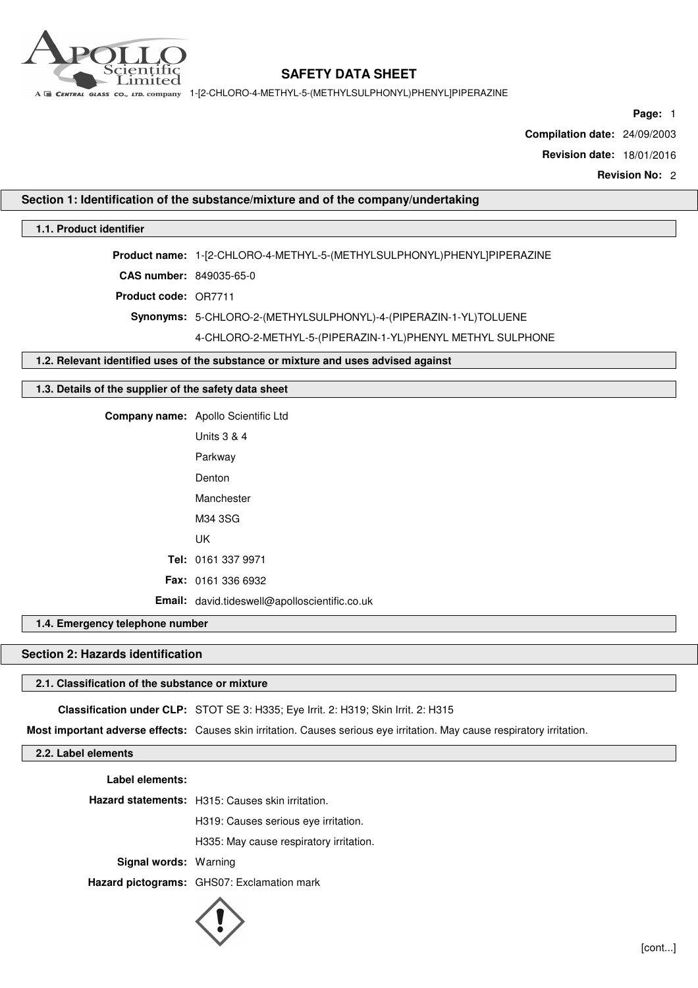

A E CENTRAL GLASS CO., LTD. COMPANY 1-[2-CHLORO-4-METHYL-5-(METHYLSULPHONYL)PHENYL]PIPERAZINE

**Page:** 1

**Compilation date:** 24/09/2003

**Revision date:** 18/01/2016

**Revision No:** 2

## **Section 1: Identification of the substance/mixture and of the company/undertaking**

## **1.1. Product identifier**

**Product name:** 1-[2-CHLORO-4-METHYL-5-(METHYLSULPHONYL)PHENYL]PIPERAZINE **CAS number:** 849035-65-0 **Product code:** OR7711 **Synonyms:** 5-CHLORO-2-(METHYLSULPHONYL)-4-(PIPERAZIN-1-YL)TOLUENE 4-CHLORO-2-METHYL-5-(PIPERAZIN-1-YL)PHENYL METHYL SULPHONE

#### **1.2. Relevant identified uses of the substance or mixture and uses advised against**

### **1.3. Details of the supplier of the safety data sheet**

**Company name:** Apollo Scientific Ltd

| Units 3 & 4                                   |
|-----------------------------------------------|
| Parkway                                       |
| Denton                                        |
| Manchester                                    |
| M34 3SG                                       |
| UK                                            |
| Tel: 0161 337 9971                            |
| <b>Fax: 0161 336 6932</b>                     |
| Email: david.tideswell@apolloscientific.co.uk |

## **1.4. Emergency telephone number**

# **Section 2: Hazards identification**

## **2.1. Classification of the substance or mixture**

**Classification under CLP:** STOT SE 3: H335; Eye Irrit. 2: H319; Skin Irrit. 2: H315

**Most important adverse effects:** Causes skin irritation. Causes serious eye irritation. May cause respiratory irritation.

**2.2. Label elements**

**Label elements:**

**Hazard statements:** H315: Causes skin irritation.

H319: Causes serious eye irritation.

H335: May cause respiratory irritation.

**Signal words:** Warning

**Hazard pictograms:** GHS07: Exclamation mark

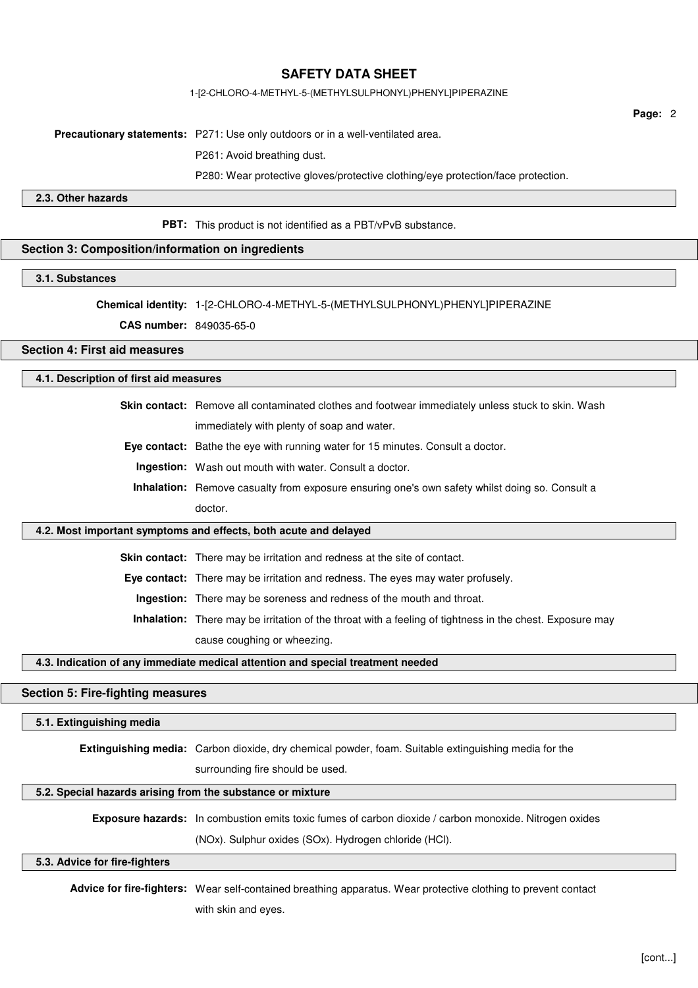### 1-[2-CHLORO-4-METHYL-5-(METHYLSULPHONYL)PHENYL]PIPERAZINE

**Page:** 2

**Precautionary statements:** P271: Use only outdoors or in a well-ventilated area.

P261: Avoid breathing dust.

P280: Wear protective gloves/protective clothing/eye protection/face protection.

**2.3. Other hazards**

**PBT:** This product is not identified as a PBT/vPvB substance.

## **Section 3: Composition/information on ingredients**

### **3.1. Substances**

**Chemical identity:** 1-[2-CHLORO-4-METHYL-5-(METHYLSULPHONYL)PHENYL]PIPERAZINE

**CAS number:** 849035-65-0

## **Section 4: First aid measures**

## **4.1. Description of first aid measures**

**Skin contact:** Remove all contaminated clothes and footwear immediately unless stuck to skin. Wash immediately with plenty of soap and water.

**Eye contact:** Bathe the eye with running water for 15 minutes. Consult a doctor.

**Ingestion:** Wash out mouth with water. Consult a doctor.

**Inhalation:** Remove casualty from exposure ensuring one's own safety whilst doing so. Consult a doctor.

## **4.2. Most important symptoms and effects, both acute and delayed**

**Skin contact:** There may be irritation and redness at the site of contact.

**Eye contact:** There may be irritation and redness. The eyes may water profusely.

**Ingestion:** There may be soreness and redness of the mouth and throat.

**Inhalation:** There may be irritation of the throat with a feeling of tightness in the chest. Exposure may cause coughing or wheezing.

## **4.3. Indication of any immediate medical attention and special treatment needed**

#### **Section 5: Fire-fighting measures**

#### **5.1. Extinguishing media**

**Extinguishing media:** Carbon dioxide, dry chemical powder, foam. Suitable extinguishing media for the

surrounding fire should be used.

#### **5.2. Special hazards arising from the substance or mixture**

**Exposure hazards:** In combustion emits toxic fumes of carbon dioxide / carbon monoxide. Nitrogen oxides

(NOx). Sulphur oxides (SOx). Hydrogen chloride (HCl).

#### **5.3. Advice for fire-fighters**

**Advice for fire-fighters:** Wear self-contained breathing apparatus. Wear protective clothing to prevent contact with skin and eyes.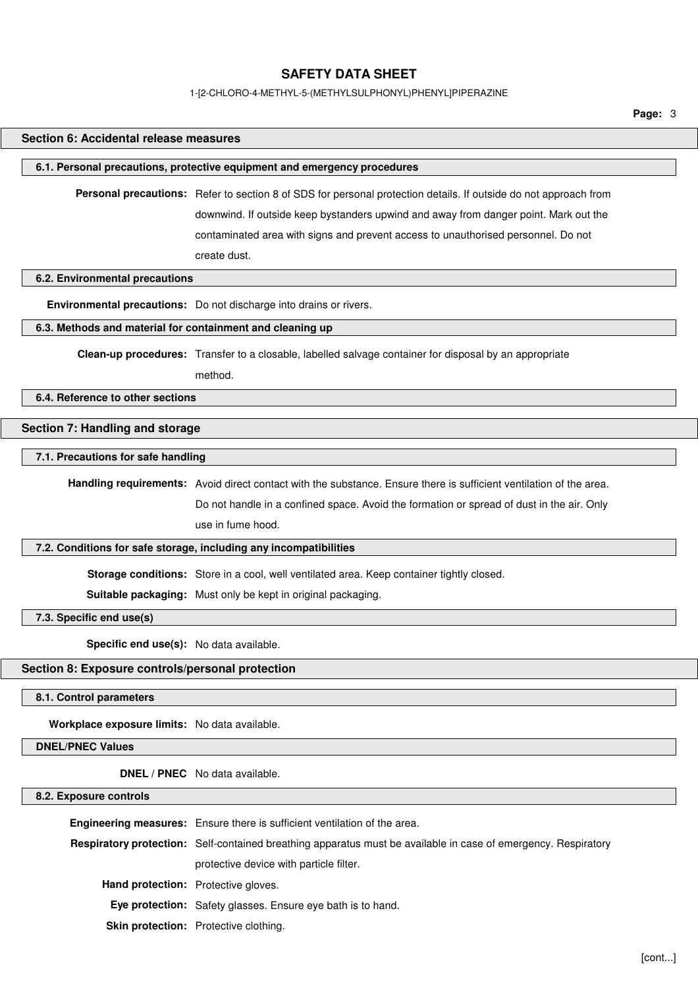#### 1-[2-CHLORO-4-METHYL-5-(METHYLSULPHONYL)PHENYL]PIPERAZINE

**Page:** 3

# **Section 6: Accidental release measures 6.1. Personal precautions, protective equipment and emergency procedures Personal precautions:** Refer to section 8 of SDS for personal protection details. If outside do not approach from downwind. If outside keep bystanders upwind and away from danger point. Mark out the contaminated area with signs and prevent access to unauthorised personnel. Do not create dust. **6.2. Environmental precautions Environmental precautions:** Do not discharge into drains or rivers. **6.3. Methods and material for containment and cleaning up Clean-up procedures:** Transfer to a closable, labelled salvage container for disposal by an appropriate method. **6.4. Reference to other sections Section 7: Handling and storage 7.1. Precautions for safe handling Handling requirements:** Avoid direct contact with the substance. Ensure there is sufficient ventilation of the area. Do not handle in a confined space. Avoid the formation or spread of dust in the air. Only use in fume hood. **7.2. Conditions for safe storage, including any incompatibilities Storage conditions:** Store in a cool, well ventilated area. Keep container tightly closed. **Suitable packaging:** Must only be kept in original packaging. **7.3. Specific end use(s) Specific end use(s):** No data available. **Section 8: Exposure controls/personal protection 8.1. Control parameters Workplace exposure limits:** No data available. **DNEL/PNEC Values DNEL / PNEC** No data available. **8.2. Exposure controls**

|                                            | Engineering measures: Ensure there is sufficient ventilation of the area.                                      |  |
|--------------------------------------------|----------------------------------------------------------------------------------------------------------------|--|
|                                            |                                                                                                                |  |
|                                            | Respiratory protection: Self-contained breathing apparatus must be available in case of emergency. Respiratory |  |
|                                            | protective device with particle filter.                                                                        |  |
| <b>Hand protection:</b> Protective gloves. |                                                                                                                |  |
|                                            | <b>Eye protection:</b> Safety glasses. Ensure eye bath is to hand.                                             |  |
|                                            | Skin protection: Protective clothing.                                                                          |  |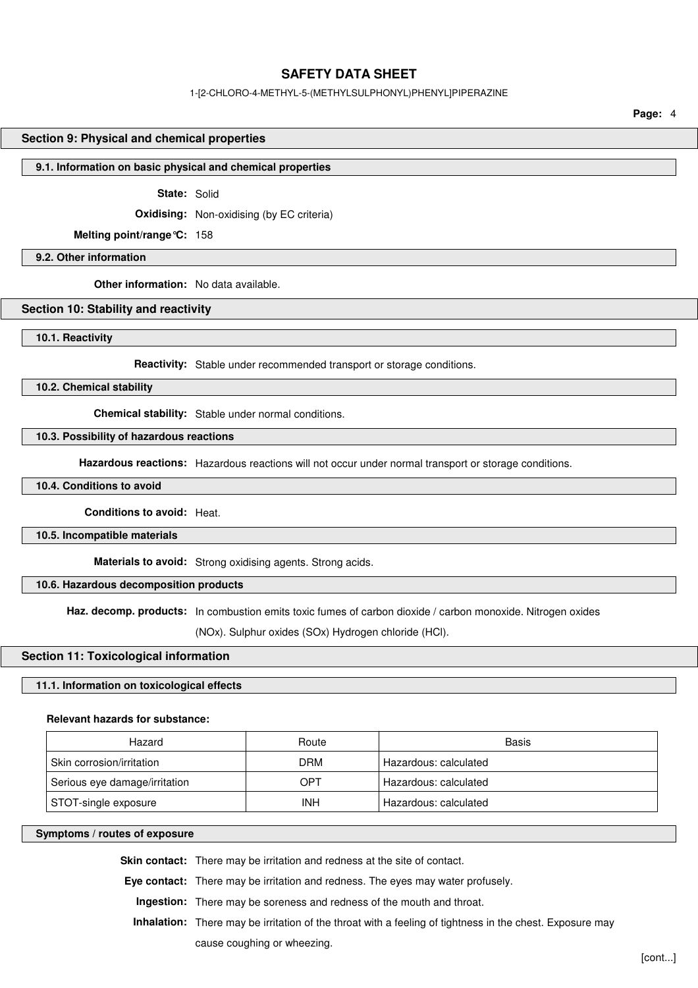## 1-[2-CHLORO-4-METHYL-5-(METHYLSULPHONYL)PHENYL]PIPERAZINE

**Page:** 4

#### **Section 9: Physical and chemical properties**

#### **9.1. Information on basic physical and chemical properties**

**State:** Solid

**Oxidising:** Non-oxidising (by EC criteria)

**Melting point/range°C:** 158

**9.2. Other information**

**Other information:** No data available.

## **Section 10: Stability and reactivity**

**10.1. Reactivity**

**Reactivity:** Stable under recommended transport or storage conditions.

**10.2. Chemical stability**

**Chemical stability:** Stable under normal conditions.

## **10.3. Possibility of hazardous reactions**

**Hazardous reactions:** Hazardous reactions will not occur under normal transport or storage conditions.

**10.4. Conditions to avoid**

**Conditions to avoid:** Heat.

**10.5. Incompatible materials**

**Materials to avoid:** Strong oxidising agents. Strong acids.

**10.6. Hazardous decomposition products**

**Haz. decomp. products:** In combustion emits toxic fumes of carbon dioxide / carbon monoxide. Nitrogen oxides

(NOx). Sulphur oxides (SOx) Hydrogen chloride (HCl).

#### **Section 11: Toxicological information**

## **11.1. Information on toxicological effects**

## **Relevant hazards for substance:**

| Hazard                        | Route      | Basis                 |
|-------------------------------|------------|-----------------------|
| Skin corrosion/irritation     | DRM        | Hazardous: calculated |
| Serious eye damage/irritation | OPT        | Hazardous: calculated |
| STOT-single exposure          | <b>INH</b> | Hazardous: calculated |

#### **Symptoms / routes of exposure**

**Skin contact:** There may be irritation and redness at the site of contact.

**Eye contact:** There may be irritation and redness. The eyes may water profusely.

**Ingestion:** There may be soreness and redness of the mouth and throat.

**Inhalation:** There may be irritation of the throat with a feeling of tightness in the chest. Exposure may

cause coughing or wheezing.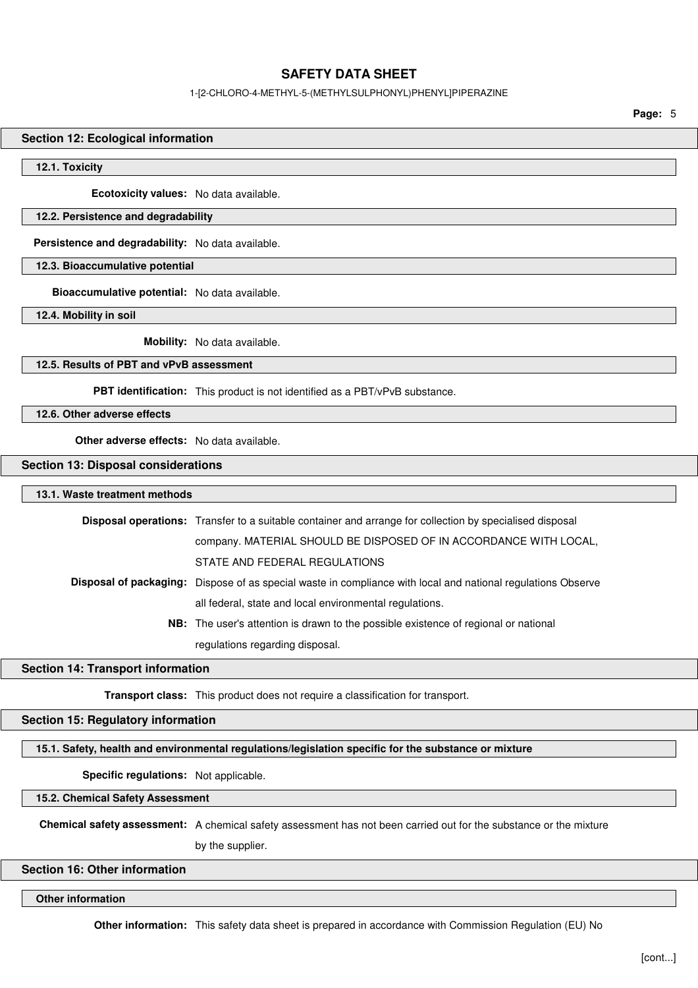## 1-[2-CHLORO-4-METHYL-5-(METHYLSULPHONYL)PHENYL]PIPERAZINE

**Page:** 5

#### **Section 12: Ecological information**

#### **12.1. Toxicity**

**Ecotoxicity values:** No data available.

## **12.2. Persistence and degradability**

**Persistence and degradability:** No data available.

**12.3. Bioaccumulative potential**

**Bioaccumulative potential:** No data available.

**12.4. Mobility in soil**

**Mobility:** No data available.

## **12.5. Results of PBT and vPvB assessment**

**PBT identification:** This product is not identified as a PBT/vPvB substance.

**12.6. Other adverse effects**

**Other adverse effects:** No data available.

#### **Section 13: Disposal considerations**

## **13.1. Waste treatment methods**

| <b>Disposal operations:</b> Transfer to a suitable container and arrange for collection by specialised disposal     |
|---------------------------------------------------------------------------------------------------------------------|
| company. MATERIAL SHOULD BE DISPOSED OF IN ACCORDANCE WITH LOCAL,                                                   |
| STATE AND FEDERAL REGULATIONS                                                                                       |
| <b>Disposal of packaging:</b> Dispose of as special waste in compliance with local and national regulations Observe |
| all federal, state and local environmental regulations.                                                             |
| <b>NB:</b> The user's attention is drawn to the possible existence of regional or national                          |
| regulations regarding disposal.                                                                                     |

#### **Section 14: Transport information**

**Transport class:** This product does not require a classification for transport.

## **Section 15: Regulatory information**

#### **15.1. Safety, health and environmental regulations/legislation specific for the substance or mixture**

**Specific regulations:** Not applicable.

**15.2. Chemical Safety Assessment**

**Chemical safety assessment:** A chemical safety assessment has not been carried out for the substance or the mixture

by the supplier.

## **Section 16: Other information**

**Other information**

**Other information:** This safety data sheet is prepared in accordance with Commission Regulation (EU) No